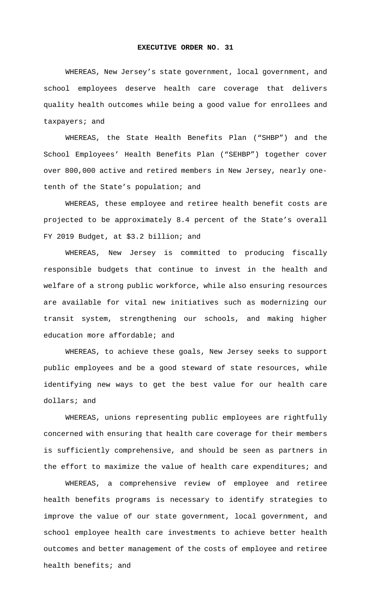## **EXECUTIVE ORDER NO. 31**

WHEREAS, New Jersey's state government, local government, and school employees deserve health care coverage that delivers quality health outcomes while being a good value for enrollees and taxpayers; and

WHEREAS, the State Health Benefits Plan ("SHBP") and the School Employees' Health Benefits Plan ("SEHBP") together cover over 800,000 active and retired members in New Jersey, nearly onetenth of the State's population; and

WHEREAS, these employee and retiree health benefit costs are projected to be approximately 8.4 percent of the State's overall FY 2019 Budget, at \$3.2 billion; and

WHEREAS, New Jersey is committed to producing fiscally responsible budgets that continue to invest in the health and welfare of a strong public workforce, while also ensuring resources are available for vital new initiatives such as modernizing our transit system, strengthening our schools, and making higher education more affordable; and

WHEREAS, to achieve these goals, New Jersey seeks to support public employees and be a good steward of state resources, while identifying new ways to get the best value for our health care dollars; and

WHEREAS, unions representing public employees are rightfully concerned with ensuring that health care coverage for their members is sufficiently comprehensive, and should be seen as partners in the effort to maximize the value of health care expenditures; and

WHEREAS, a comprehensive review of employee and retiree health benefits programs is necessary to identify strategies to improve the value of our state government, local government, and school employee health care investments to achieve better health outcomes and better management of the costs of employee and retiree health benefits; and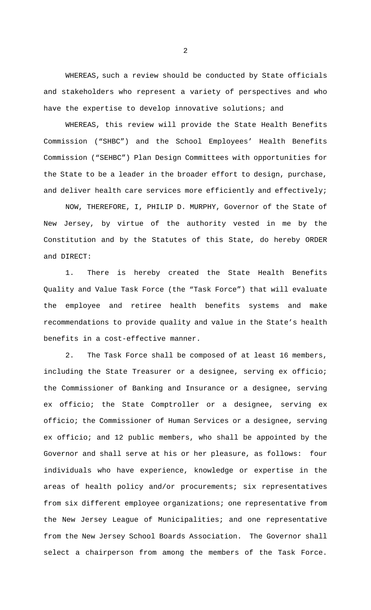WHEREAS, such a review should be conducted by State officials and stakeholders who represent a variety of perspectives and who have the expertise to develop innovative solutions; and

WHEREAS, this review will provide the State Health Benefits Commission ("SHBC") and the School Employees' Health Benefits Commission ("SEHBC") Plan Design Committees with opportunities for the State to be a leader in the broader effort to design, purchase, and deliver health care services more efficiently and effectively;

 NOW, THEREFORE, I, PHILIP D. MURPHY, Governor of the State of New Jersey, by virtue of the authority vested in me by the Constitution and by the Statutes of this State, do hereby ORDER and DIRECT:

1. There is hereby created the State Health Benefits Quality and Value Task Force (the "Task Force") that will evaluate the employee and retiree health benefits systems and make recommendations to provide quality and value in the State's health benefits in a cost-effective manner.

2. The Task Force shall be composed of at least 16 members, including the State Treasurer or a designee, serving ex officio; the Commissioner of Banking and Insurance or a designee, serving ex officio; the State Comptroller or a designee, serving ex officio; the Commissioner of Human Services or a designee, serving ex officio; and 12 public members, who shall be appointed by the Governor and shall serve at his or her pleasure, as follows: four individuals who have experience, knowledge or expertise in the areas of health policy and/or procurements; six representatives from six different employee organizations; one representative from the New Jersey League of Municipalities; and one representative from the New Jersey School Boards Association. The Governor shall select a chairperson from among the members of the Task Force.

2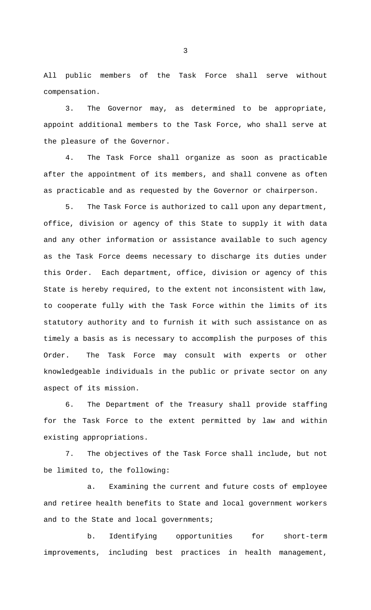All public members of the Task Force shall serve without compensation.

3. The Governor may, as determined to be appropriate, appoint additional members to the Task Force, who shall serve at the pleasure of the Governor.

4. The Task Force shall organize as soon as practicable after the appointment of its members, and shall convene as often as practicable and as requested by the Governor or chairperson.

5. The Task Force is authorized to call upon any department, office, division or agency of this State to supply it with data and any other information or assistance available to such agency as the Task Force deems necessary to discharge its duties under this Order. Each department, office, division or agency of this State is hereby required, to the extent not inconsistent with law, to cooperate fully with the Task Force within the limits of its statutory authority and to furnish it with such assistance on as timely a basis as is necessary to accomplish the purposes of this Order. The Task Force may consult with experts or other knowledgeable individuals in the public or private sector on any aspect of its mission.

6. The Department of the Treasury shall provide staffing for the Task Force to the extent permitted by law and within existing appropriations.

7. The objectives of the Task Force shall include, but not be limited to, the following:

a. Examining the current and future costs of employee and retiree health benefits to State and local government workers and to the State and local governments;

b. Identifying opportunities for short-term improvements, including best practices in health management,

3